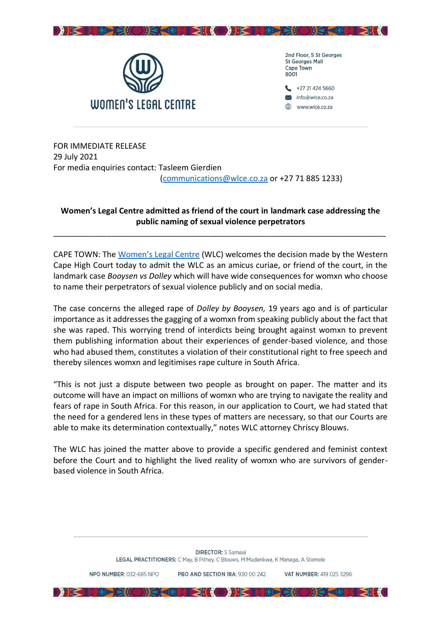



2nd Floor, 5 St Georges **St Georges Mall** Cape Town 8001



FOR IMMEDIATE RELEASE 29 July 2021 For media enquiries contact: Tasleem Gierdien [\(communications@wlce.co.za](mailto:communications@wlce.co.za) or +27 71 885 1233)

## **Women's Legal Centre admitted as friend of the court in landmark case addressing the public naming of sexual violence perpetrators**

\_\_\_\_\_\_\_\_\_\_\_\_\_\_\_\_\_\_\_\_\_\_\_\_\_\_\_\_\_\_\_\_\_\_\_\_\_\_\_\_\_\_\_\_\_\_\_\_\_\_\_\_\_\_\_\_\_\_\_\_\_\_\_\_\_\_\_\_\_\_\_\_\_\_\_

CAPE TOWN: The [Women's Legal Centre](https://wlce.co.za/) (WLC) welcomes the decision made by the Western Cape High Court today to admit the WLC as an amicus curiae, or friend of the court, in the landmark case *Booysen vs Dolley* which will have wide consequences for womxn who choose to name their perpetrators of sexual violence publicly and on social media.

The case concerns the alleged rape of *Dolley by Booysen,* 19 years ago and is of particular importance as it addresses the gagging of a womxn from speaking publicly about the fact that she was raped. This worrying trend of interdicts being brought against womxn to prevent them publishing information about their experiences of gender-based violence, and those who had abused them, constitutes a violation of their constitutional right to free speech and thereby silences womxn and legitimises rape culture in South Africa.

"This is not just a dispute between two people as brought on paper. The matter and its outcome will have an impact on millions of womxn who are trying to navigate the reality and fears of rape in South Africa. For this reason, in our application to Court, we had stated that the need for a gendered lens in these types of matters are necessary, so that our Courts are able to make its determination contextually," notes WLC attorney Chriscy Blouws.

The WLC has joined the matter above to provide a specific gendered and feminist context before the Court and to highlight the lived reality of womxn who are survivors of genderbased violence in South Africa.

PRO AND SECTION 18A: 930.00.242

**DESTRESIONS CHECKODE IN SIONS CHECKING** 

VAT NUMRER: 419 025 3296

NPO NUMBER: 032-685 NPO